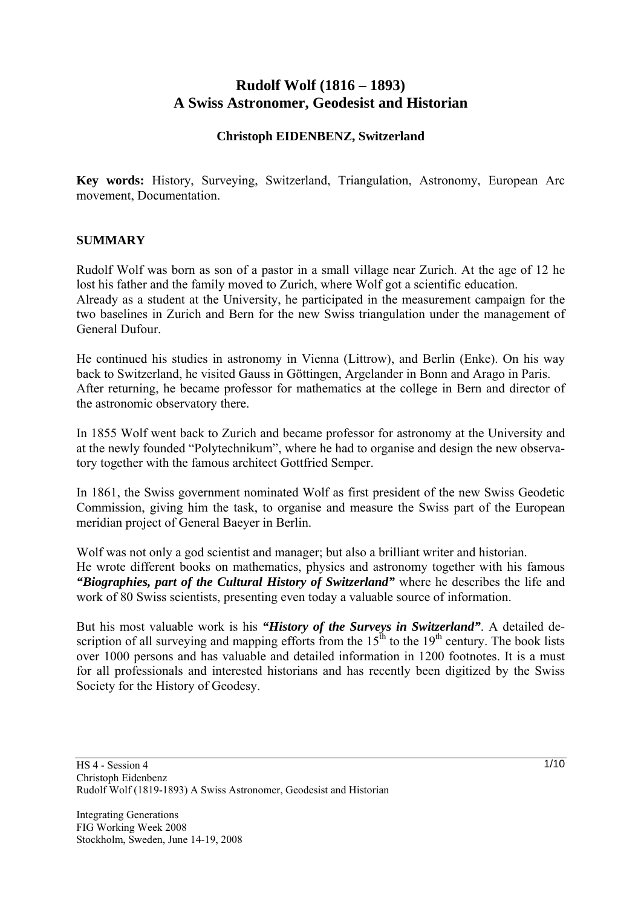# **Rudolf Wolf (1816 – 1893) A Swiss Astronomer, Geodesist and Historian**

## **Christoph EIDENBENZ, Switzerland**

**Key words:** History, Surveying, Switzerland, Triangulation, Astronomy, European Arc movement, Documentation.

#### **SUMMARY**

Rudolf Wolf was born as son of a pastor in a small village near Zurich. At the age of 12 he lost his father and the family moved to Zurich, where Wolf got a scientific education. Already as a student at the University, he participated in the measurement campaign for the two baselines in Zurich and Bern for the new Swiss triangulation under the management of General Dufour.

He continued his studies in astronomy in Vienna (Littrow), and Berlin (Enke). On his way back to Switzerland, he visited Gauss in Göttingen, Argelander in Bonn and Arago in Paris. After returning, he became professor for mathematics at the college in Bern and director of the astronomic observatory there.

In 1855 Wolf went back to Zurich and became professor for astronomy at the University and at the newly founded "Polytechnikum", where he had to organise and design the new observatory together with the famous architect Gottfried Semper.

In 1861, the Swiss government nominated Wolf as first president of the new Swiss Geodetic Commission, giving him the task, to organise and measure the Swiss part of the European meridian project of General Baeyer in Berlin.

Wolf was not only a god scientist and manager; but also a brilliant writer and historian. He wrote different books on mathematics, physics and astronomy together with his famous *"Biographies, part of the Cultural History of Switzerland"* where he describes the life and work of 80 Swiss scientists, presenting even today a valuable source of information.

But his most valuable work is his *"History of the Surveys in Switzerland"*. A detailed description of all surveying and mapping efforts from the  $15<sup>th</sup>$  to the  $19<sup>th</sup>$  century. The book lists over 1000 persons and has valuable and detailed information in 1200 footnotes. It is a must for all professionals and interested historians and has recently been digitized by the Swiss Society for the History of Geodesy.

 $1/10$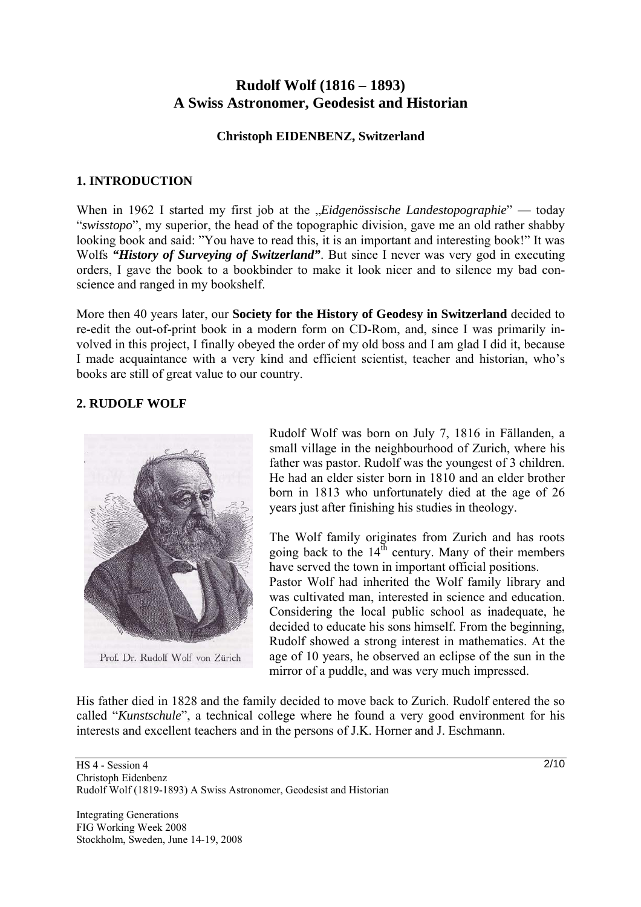# **Rudolf Wolf (1816 – 1893) A Swiss Astronomer, Geodesist and Historian**

#### **Christoph EIDENBENZ, Switzerland**

#### **1. INTRODUCTION**

When in 1962 I started my first job at the *"Eidgenössische Landestopographie*" — today "*swisstopo*", my superior, the head of the topographic division, gave me an old rather shabby looking book and said: "You have to read this, it is an important and interesting book!" It was Wolfs *"History of Surveying of Switzerland"*. But since I never was very god in executing orders, I gave the book to a bookbinder to make it look nicer and to silence my bad conscience and ranged in my bookshelf.

More then 40 years later, our **Society for the History of Geodesy in Switzerland** decided to re-edit the out-of-print book in a modern form on CD-Rom, and, since I was primarily involved in this project, I finally obeyed the order of my old boss and I am glad I did it, because I made acquaintance with a very kind and efficient scientist, teacher and historian, who's books are still of great value to our country.

# **2. RUDOLF WOLF**



Prof. Dr. Rudolf Wolf von Zürich

Rudolf Wolf was born on July 7, 1816 in Fällanden, a small village in the neighbourhood of Zurich, where his father was pastor. Rudolf was the youngest of 3 children. He had an elder sister born in 1810 and an elder brother born in 1813 who unfortunately died at the age of 26 years just after finishing his studies in theology.

The Wolf family originates from Zurich and has roots going back to the  $14<sup>th</sup>$  century. Many of their members have served the town in important official positions. Pastor Wolf had inherited the Wolf family library and was cultivated man, interested in science and education. Considering the local public school as inadequate, he decided to educate his sons himself. From the beginning, Rudolf showed a strong interest in mathematics. At the age of 10 years, he observed an eclipse of the sun in the mirror of a puddle, and was very much impressed.

His father died in 1828 and the family decided to move back to Zurich. Rudolf entered the so called "*Kunstschule*", a technical college where he found a very good environment for his interests and excellent teachers and in the persons of J.K. Horner and J. Eschmann.

#### HS 4 - Session 4 Christoph Eidenbenz Rudolf Wolf (1819-1893) A Swiss Astronomer, Geodesist and Historian

Integrating Generations FIG Working Week 2008 Stockholm, Sweden, June 14-19, 2008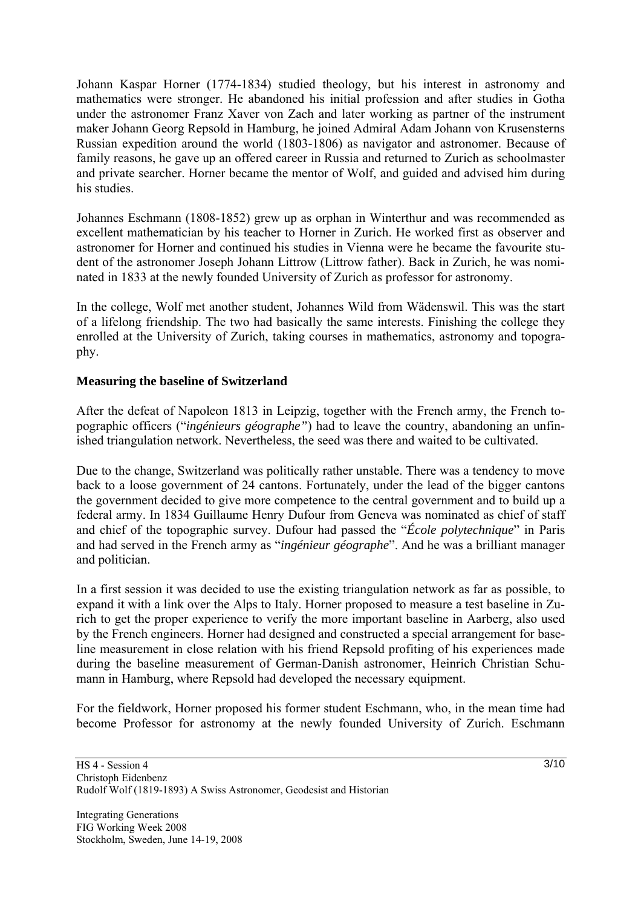Johann Kaspar Horner (1774-1834) studied theology, but his interest in astronomy and mathematics were stronger. He abandoned his initial profession and after studies in Gotha under the astronomer Franz Xaver von Zach and later working as partner of the instrument maker Johann Georg Repsold in Hamburg, he joined Admiral Adam Johann von Krusensterns Russian expedition around the world (1803-1806) as navigator and astronomer. Because of family reasons, he gave up an offered career in Russia and returned to Zurich as schoolmaster and private searcher. Horner became the mentor of Wolf, and guided and advised him during his studies.

Johannes Eschmann (1808-1852) grew up as orphan in Winterthur and was recommended as excellent mathematician by his teacher to Horner in Zurich. He worked first as observer and astronomer for Horner and continued his studies in Vienna were he became the favourite student of the astronomer Joseph Johann Littrow (Littrow father). Back in Zurich, he was nominated in 1833 at the newly founded University of Zurich as professor for astronomy.

In the college, Wolf met another student, Johannes Wild from Wädenswil. This was the start of a lifelong friendship. The two had basically the same interests. Finishing the college they enrolled at the University of Zurich, taking courses in mathematics, astronomy and topography.

#### **Measuring the baseline of Switzerland**

After the defeat of Napoleon 1813 in Leipzig, together with the French army, the French topographic officers ("*ingénieurs géographe"*) had to leave the country, abandoning an unfinished triangulation network. Nevertheless, the seed was there and waited to be cultivated.

Due to the change, Switzerland was politically rather unstable. There was a tendency to move back to a loose government of 24 cantons. Fortunately, under the lead of the bigger cantons the government decided to give more competence to the central government and to build up a federal army. In 1834 Guillaume Henry Dufour from Geneva was nominated as chief of staff and chief of the topographic survey. Dufour had passed the "*École polytechnique*" in Paris and had served in the French army as "*ingénieur géographe*". And he was a brilliant manager and politician.

In a first session it was decided to use the existing triangulation network as far as possible, to expand it with a link over the Alps to Italy. Horner proposed to measure a test baseline in Zurich to get the proper experience to verify the more important baseline in Aarberg, also used by the French engineers. Horner had designed and constructed a special arrangement for baseline measurement in close relation with his friend Repsold profiting of his experiences made during the baseline measurement of German-Danish astronomer, Heinrich Christian Schumann in Hamburg, where Repsold had developed the necessary equipment.

For the fieldwork, Horner proposed his former student Eschmann, who, in the mean time had become Professor for astronomy at the newly founded University of Zurich. Eschmann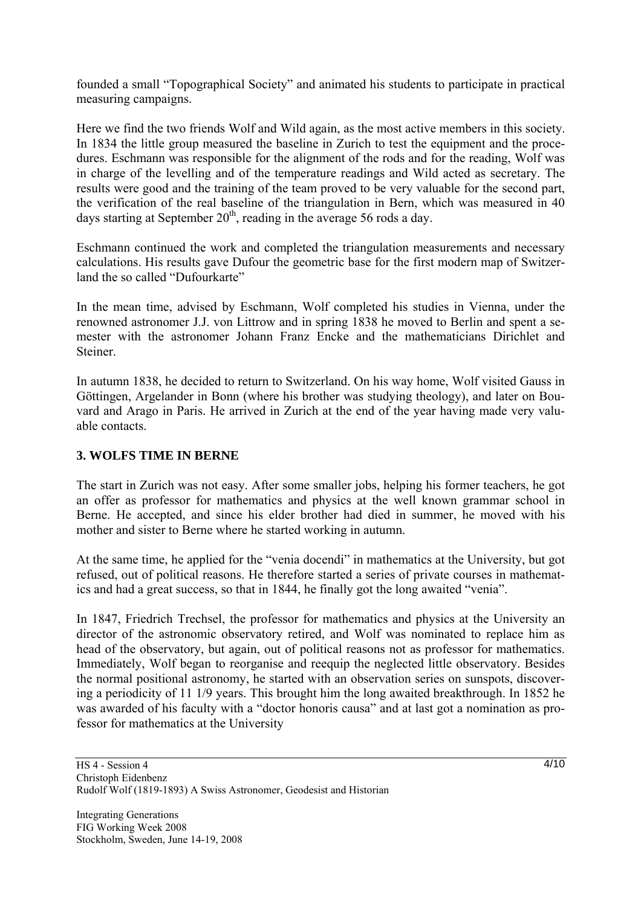founded a small "Topographical Society" and animated his students to participate in practical measuring campaigns.

Here we find the two friends Wolf and Wild again, as the most active members in this society. In 1834 the little group measured the baseline in Zurich to test the equipment and the procedures. Eschmann was responsible for the alignment of the rods and for the reading, Wolf was in charge of the levelling and of the temperature readings and Wild acted as secretary. The results were good and the training of the team proved to be very valuable for the second part, the verification of the real baseline of the triangulation in Bern, which was measured in 40 days starting at September  $20<sup>th</sup>$ , reading in the average 56 rods a day.

Eschmann continued the work and completed the triangulation measurements and necessary calculations. His results gave Dufour the geometric base for the first modern map of Switzerland the so called "Dufourkarte"

In the mean time, advised by Eschmann, Wolf completed his studies in Vienna, under the renowned astronomer J.J. von Littrow and in spring 1838 he moved to Berlin and spent a semester with the astronomer Johann Franz Encke and the mathematicians Dirichlet and Steiner.

In autumn 1838, he decided to return to Switzerland. On his way home, Wolf visited Gauss in Göttingen, Argelander in Bonn (where his brother was studying theology), and later on Bouvard and Arago in Paris. He arrived in Zurich at the end of the year having made very valuable contacts.

## **3. WOLFS TIME IN BERNE**

The start in Zurich was not easy. After some smaller jobs, helping his former teachers, he got an offer as professor for mathematics and physics at the well known grammar school in Berne. He accepted, and since his elder brother had died in summer, he moved with his mother and sister to Berne where he started working in autumn.

At the same time, he applied for the "venia docendi" in mathematics at the University, but got refused, out of political reasons. He therefore started a series of private courses in mathematics and had a great success, so that in 1844, he finally got the long awaited "venia".

In 1847, Friedrich Trechsel, the professor for mathematics and physics at the University an director of the astronomic observatory retired, and Wolf was nominated to replace him as head of the observatory, but again, out of political reasons not as professor for mathematics. Immediately, Wolf began to reorganise and reequip the neglected little observatory. Besides the normal positional astronomy, he started with an observation series on sunspots, discovering a periodicity of 11 1/9 years. This brought him the long awaited breakthrough. In 1852 he was awarded of his faculty with a "doctor honoris causa" and at last got a nomination as professor for mathematics at the University

 $4/10$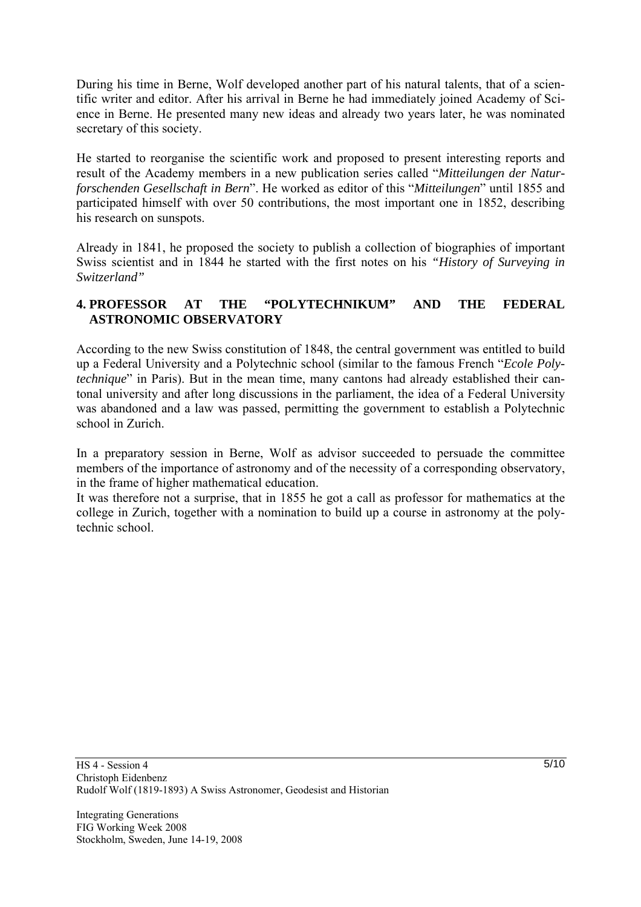During his time in Berne, Wolf developed another part of his natural talents, that of a scientific writer and editor. After his arrival in Berne he had immediately joined Academy of Science in Berne. He presented many new ideas and already two years later, he was nominated secretary of this society.

He started to reorganise the scientific work and proposed to present interesting reports and result of the Academy members in a new publication series called "*Mitteilungen der Naturforschenden Gesellschaft in Bern*". He worked as editor of this "*Mitteilungen*" until 1855 and participated himself with over 50 contributions, the most important one in 1852, describing his research on sunspots.

Already in 1841, he proposed the society to publish a collection of biographies of important Swiss scientist and in 1844 he started with the first notes on his *"History of Surveying in Switzerland"* 

## **4. PROFESSOR AT THE "POLYTECHNIKUM" AND THE FEDERAL ASTRONOMIC OBSERVATORY**

According to the new Swiss constitution of 1848, the central government was entitled to build up a Federal University and a Polytechnic school (similar to the famous French "*Ecole Polytechnique*" in Paris). But in the mean time, many cantons had already established their cantonal university and after long discussions in the parliament, the idea of a Federal University was abandoned and a law was passed, permitting the government to establish a Polytechnic school in Zurich.

In a preparatory session in Berne, Wolf as advisor succeeded to persuade the committee members of the importance of astronomy and of the necessity of a corresponding observatory, in the frame of higher mathematical education.

It was therefore not a surprise, that in 1855 he got a call as professor for mathematics at the college in Zurich, together with a nomination to build up a course in astronomy at the polytechnic school.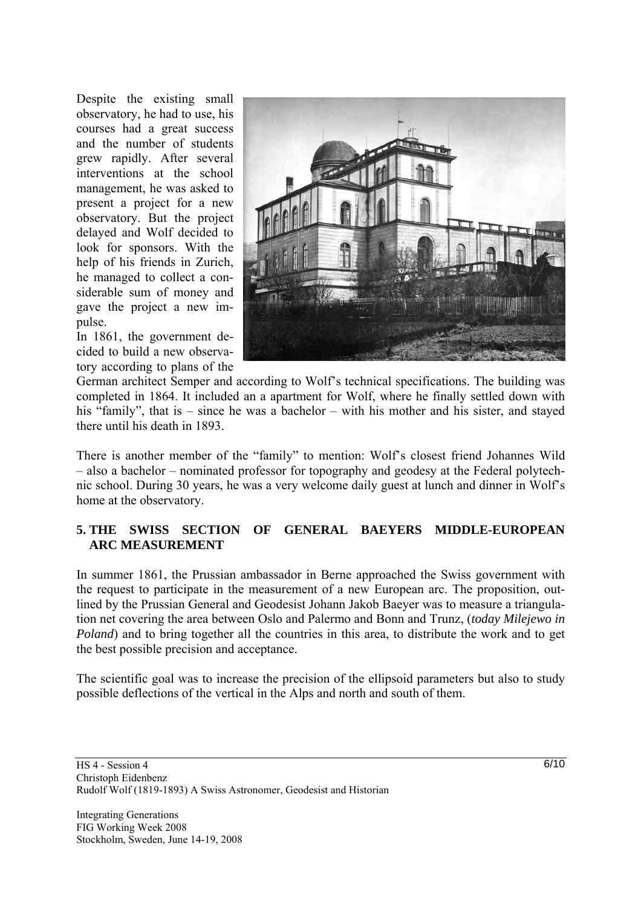Despite the existing small observatory, he had to use, his courses had a great success and the number of students grew rapidly. After several interventions at the school management, he was asked to present a project for a new observatory. But the project delayed and Wolf decided to look for sponsors. With the help of his friends in Zurich, he managed to collect a considerable sum of money and gave the project a new impulse.

In 1861, the government decided to build a new observatory according to plans of the



German architect Semper and according to Wolf's technical specifications. The building was completed in 1864. It included an a apartment for Wolf, where he finally settled down with his "family", that is – since he was a bachelor – with his mother and his sister, and stayed there until his death in 1893.

There is another member of the "family" to mention: Wolf's closest friend Johannes Wild – also a bachelor – nominated professor for topography and geodesy at the Federal polytechnic school. During 30 years, he was a very welcome daily guest at lunch and dinner in Wolf's home at the observatory.

# **5. THE SWISS SECTION OF GENERAL BAEYERS MIDDLE-EUROPEAN ARC MEASUREMENT**

In summer 1861, the Prussian ambassador in Berne approached the Swiss government with the request to participate in the measurement of a new European arc. The proposition, outlined by the Prussian General and Geodesist Johann Jakob Baeyer was to measure a triangulation net covering the area between Oslo and Palermo and Bonn and Trunz, (*today Milejewo in Poland*) and to bring together all the countries in this area, to distribute the work and to get the best possible precision and acceptance.

The scientific goal was to increase the precision of the ellipsoid parameters but also to study possible deflections of the vertical in the Alps and north and south of them.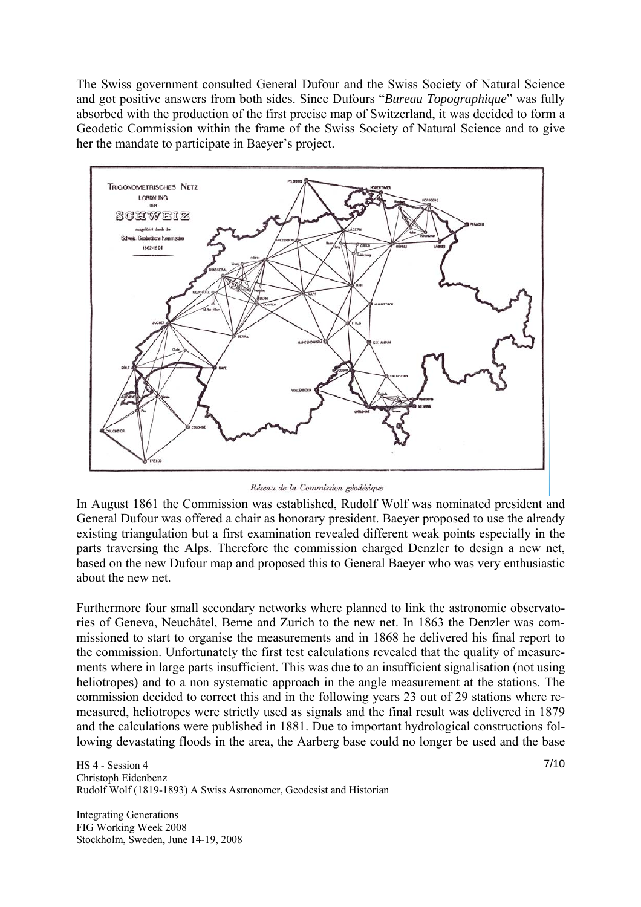The Swiss government consulted General Dufour and the Swiss Society of Natural Science and got positive answers from both sides. Since Dufours "*Bureau Topographique*" was fully absorbed with the production of the first precise map of Switzerland, it was decided to form a Geodetic Commission within the frame of the Swiss Society of Natural Science and to give her the mandate to participate in Baeyer's project.



Réseau de la Commission géodésique

In August 1861 the Commission was established, Rudolf Wolf was nominated president and General Dufour was offered a chair as honorary president. Baeyer proposed to use the already existing triangulation but a first examination revealed different weak points especially in the parts traversing the Alps. Therefore the commission charged Denzler to design a new net, based on the new Dufour map and proposed this to General Baeyer who was very enthusiastic about the new net.

Furthermore four small secondary networks where planned to link the astronomic observatories of Geneva, Neuchâtel, Berne and Zurich to the new net. In 1863 the Denzler was commissioned to start to organise the measurements and in 1868 he delivered his final report to the commission. Unfortunately the first test calculations revealed that the quality of measurements where in large parts insufficient. This was due to an insufficient signalisation (not using heliotropes) and to a non systematic approach in the angle measurement at the stations. The commission decided to correct this and in the following years 23 out of 29 stations where remeasured, heliotropes were strictly used as signals and the final result was delivered in 1879 and the calculations were published in 1881. Due to important hydrological constructions following devastating floods in the area, the Aarberg base could no longer be used and the base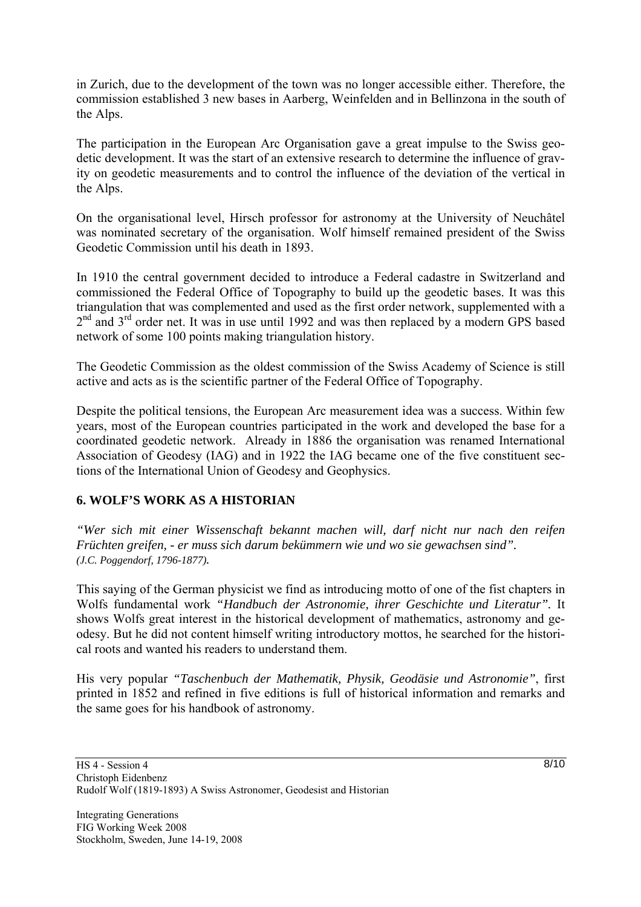in Zurich, due to the development of the town was no longer accessible either. Therefore, the commission established 3 new bases in Aarberg, Weinfelden and in Bellinzona in the south of the Alps.

The participation in the European Arc Organisation gave a great impulse to the Swiss geodetic development. It was the start of an extensive research to determine the influence of gravity on geodetic measurements and to control the influence of the deviation of the vertical in the Alps.

On the organisational level, Hirsch professor for astronomy at the University of Neuchâtel was nominated secretary of the organisation. Wolf himself remained president of the Swiss Geodetic Commission until his death in 1893.

In 1910 the central government decided to introduce a Federal cadastre in Switzerland and commissioned the Federal Office of Topography to build up the geodetic bases. It was this triangulation that was complemented and used as the first order network, supplemented with a  $2<sup>nd</sup>$  and  $3<sup>rd</sup>$  order net. It was in use until 1992 and was then replaced by a modern GPS based network of some 100 points making triangulation history.

The Geodetic Commission as the oldest commission of the Swiss Academy of Science is still active and acts as is the scientific partner of the Federal Office of Topography.

Despite the political tensions, the European Arc measurement idea was a success. Within few years, most of the European countries participated in the work and developed the base for a coordinated geodetic network. Already in 1886 the organisation was renamed International Association of Geodesy (IAG) and in 1922 the IAG became one of the five constituent sections of the International Union of Geodesy and Geophysics.

#### **6. WOLF'S WORK AS A HISTORIAN**

*"Wer sich mit einer Wissenschaft bekannt machen will, darf nicht nur nach den reifen Früchten greifen, - er muss sich darum bekümmern wie und wo sie gewachsen sind". (J.C. Poggendorf, 1796-1877).* 

This saying of the German physicist we find as introducing motto of one of the fist chapters in Wolfs fundamental work *"Handbuch der Astronomie, ihrer Geschichte und Literatur".* It shows Wolfs great interest in the historical development of mathematics, astronomy and geodesy. But he did not content himself writing introductory mottos, he searched for the historical roots and wanted his readers to understand them.

His very popular *"Taschenbuch der Mathematik, Physik, Geodäsie und Astronomie"*, first printed in 1852 and refined in five editions is full of historical information and remarks and the same goes for his handbook of astronomy.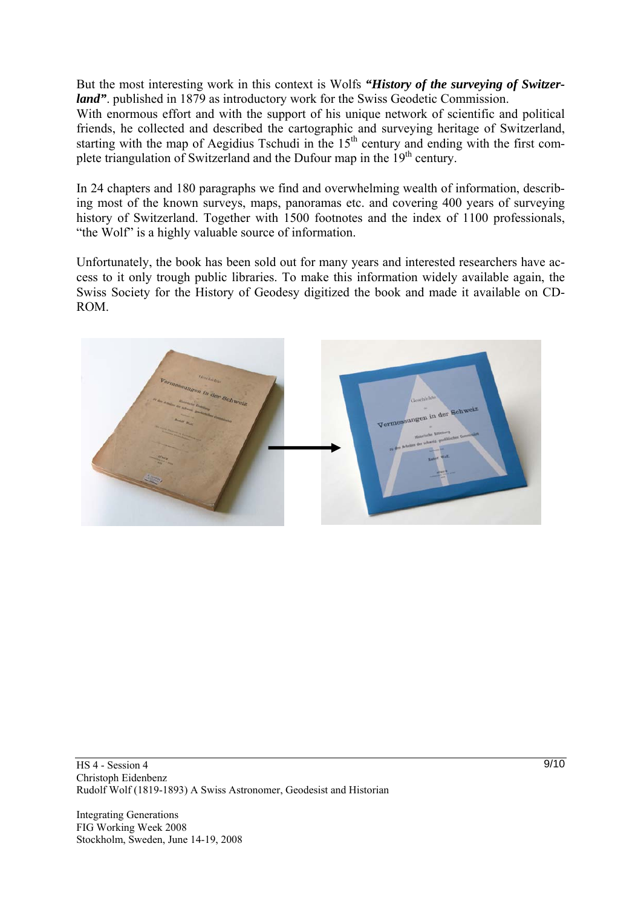But the most interesting work in this context is Wolfs *"History of the surveying of Switzerland*". published in 1879 as introductory work for the Swiss Geodetic Commission.

With enormous effort and with the support of his unique network of scientific and political friends, he collected and described the cartographic and surveying heritage of Switzerland, starting with the map of Aegidius Tschudi in the  $15<sup>th</sup>$  century and ending with the first complete triangulation of Switzerland and the Dufour map in the  $19<sup>th</sup>$  century.

In 24 chapters and 180 paragraphs we find and overwhelming wealth of information, describing most of the known surveys, maps, panoramas etc. and covering 400 years of surveying history of Switzerland. Together with 1500 footnotes and the index of 1100 professionals, "the Wolf" is a highly valuable source of information.

Unfortunately, the book has been sold out for many years and interested researchers have access to it only trough public libraries. To make this information widely available again, the Swiss Society for the History of Geodesy digitized the book and made it available on CD-ROM.



Integrating Generations FIG Working Week 2008 Stockholm, Sweden, June 14-19, 2008